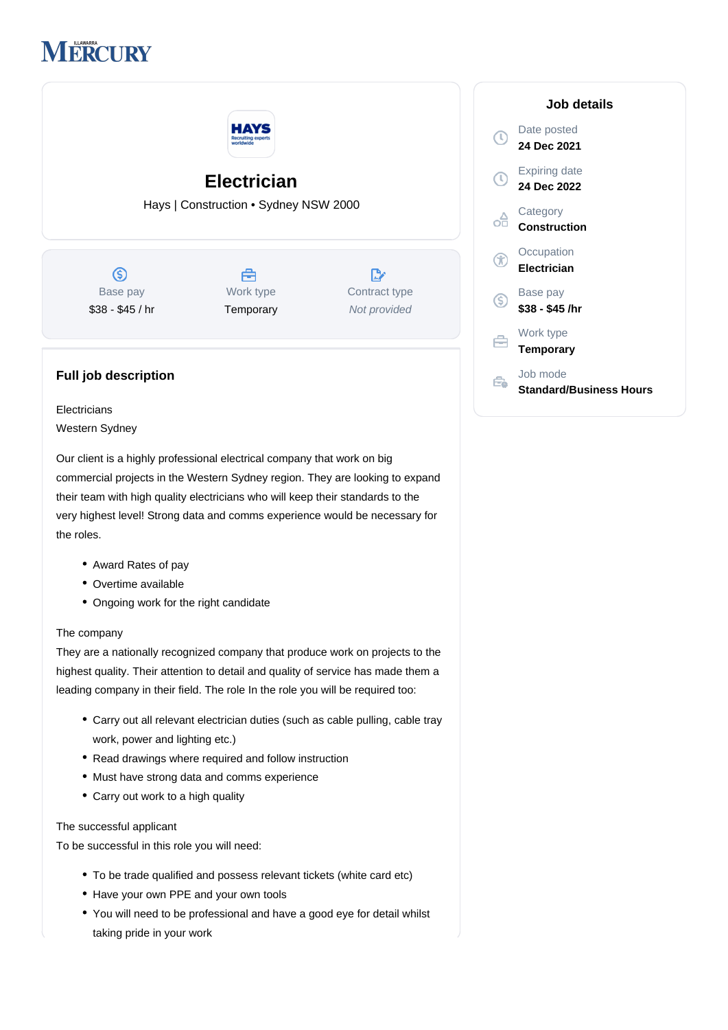# **IERCURY**



## **Full job description**

**Electricians** Western Sydney

Our client is a highly professional electrical company that work on big commercial projects in the Western Sydney region. They are looking to expand their team with high quality electricians who will keep their standards to the very highest level! Strong data and comms experience would be necessary for the roles.

- Award Rates of pay
- Overtime available
- Ongoing work for the right candidate

#### The company

They are a nationally recognized company that produce work on projects to the highest quality. Their attention to detail and quality of service has made them a leading company in their field. The role In the role you will be required too:

- Carry out all relevant electrician duties (such as cable pulling, cable tray work, power and lighting etc.)
- Read drawings where required and follow instruction
- Must have strong data and comms experience
- Carry out work to a high quality

#### The successful applicant

To be successful in this role you will need:

- To be trade qualified and possess relevant tickets (white card etc)
- Have your own PPE and your own tools
- You will need to be professional and have a good eye for detail whilst taking pride in your work